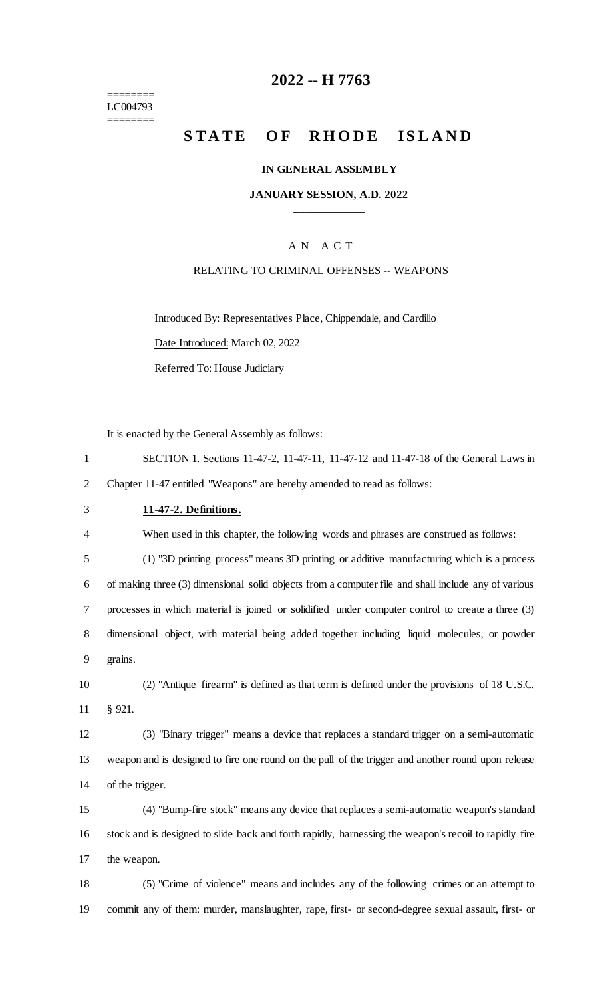======== LC004793 ========

## **-- H 7763**

# **STATE OF RHODE ISLAND**

#### **IN GENERAL ASSEMBLY**

#### **JANUARY SESSION, A.D. 2022 \_\_\_\_\_\_\_\_\_\_\_\_**

#### A N A C T

### RELATING TO CRIMINAL OFFENSES -- WEAPONS

Introduced By: Representatives Place, Chippendale, and Cardillo

Date Introduced: March 02, 2022

Referred To: House Judiciary

It is enacted by the General Assembly as follows:

| SECTION 1. Sections 11-47-2, 11-47-11, 11-47-12 and 11-47-18 of the General Laws in |
|-------------------------------------------------------------------------------------|
| 2 Chapter 11-47 entitled "Weapons" are hereby amended to read as follows:           |

#### **11-47-2. Definitions.**

When used in this chapter, the following words and phrases are construed as follows:

 (1) "3D printing process" means 3D printing or additive manufacturing which is a process of making three (3) dimensional solid objects from a computer file and shall include any of various processes in which material is joined or solidified under computer control to create a three (3) dimensional object, with material being added together including liquid molecules, or powder grains.

 (2) "Antique firearm" is defined as that term is defined under the provisions of 18 U.S.C. § 921.

 (3) "Binary trigger" means a device that replaces a standard trigger on a semi-automatic weapon and is designed to fire one round on the pull of the trigger and another round upon release of the trigger.

 (4) "Bump-fire stock" means any device that replaces a semi-automatic weapon's standard stock and is designed to slide back and forth rapidly, harnessing the weapon's recoil to rapidly fire the weapon.

 (5) "Crime of violence" means and includes any of the following crimes or an attempt to commit any of them: murder, manslaughter, rape, first- or second-degree sexual assault, first- or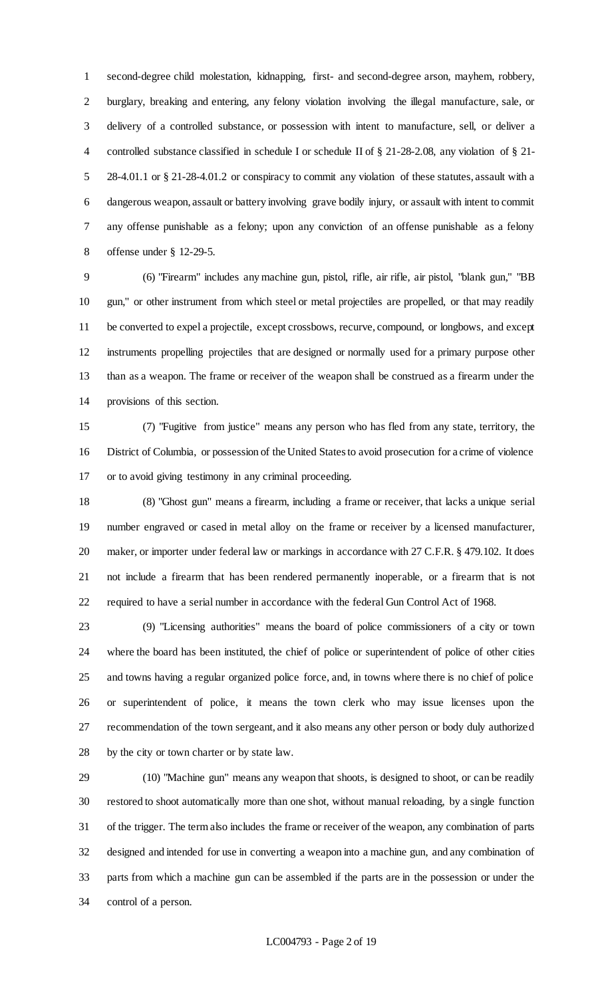second-degree child molestation, kidnapping, first- and second-degree arson, mayhem, robbery, burglary, breaking and entering, any felony violation involving the illegal manufacture, sale, or delivery of a controlled substance, or possession with intent to manufacture, sell, or deliver a controlled substance classified in schedule I or schedule II of § 21-28-2.08, any violation of § 21- 28-4.01.1 or § 21-28-4.01.2 or conspiracy to commit any violation of these statutes, assault with a dangerous weapon, assault or battery involving grave bodily injury, or assault with intent to commit any offense punishable as a felony; upon any conviction of an offense punishable as a felony offense under § 12-29-5.

 (6) "Firearm" includes any machine gun, pistol, rifle, air rifle, air pistol, "blank gun," "BB gun," or other instrument from which steel or metal projectiles are propelled, or that may readily be converted to expel a projectile, except crossbows, recurve, compound, or longbows, and except instruments propelling projectiles that are designed or normally used for a primary purpose other than as a weapon. The frame or receiver of the weapon shall be construed as a firearm under the provisions of this section.

 (7) "Fugitive from justice" means any person who has fled from any state, territory, the District of Columbia, or possession of the United States to avoid prosecution for a crime of violence or to avoid giving testimony in any criminal proceeding.

 (8) "Ghost gun" means a firearm, including a frame or receiver, that lacks a unique serial number engraved or cased in metal alloy on the frame or receiver by a licensed manufacturer, 20 maker, or importer under federal law or markings in accordance with 27 C.F.R. § 479.102. It does not include a firearm that has been rendered permanently inoperable, or a firearm that is not required to have a serial number in accordance with the federal Gun Control Act of 1968.

 (9) "Licensing authorities" means the board of police commissioners of a city or town where the board has been instituted, the chief of police or superintendent of police of other cities and towns having a regular organized police force, and, in towns where there is no chief of police or superintendent of police, it means the town clerk who may issue licenses upon the recommendation of the town sergeant, and it also means any other person or body duly authorized by the city or town charter or by state law.

 (10) "Machine gun" means any weapon that shoots, is designed to shoot, or can be readily restored to shoot automatically more than one shot, without manual reloading, by a single function of the trigger. The term also includes the frame or receiver of the weapon, any combination of parts designed and intended for use in converting a weapon into a machine gun, and any combination of parts from which a machine gun can be assembled if the parts are in the possession or under the control of a person.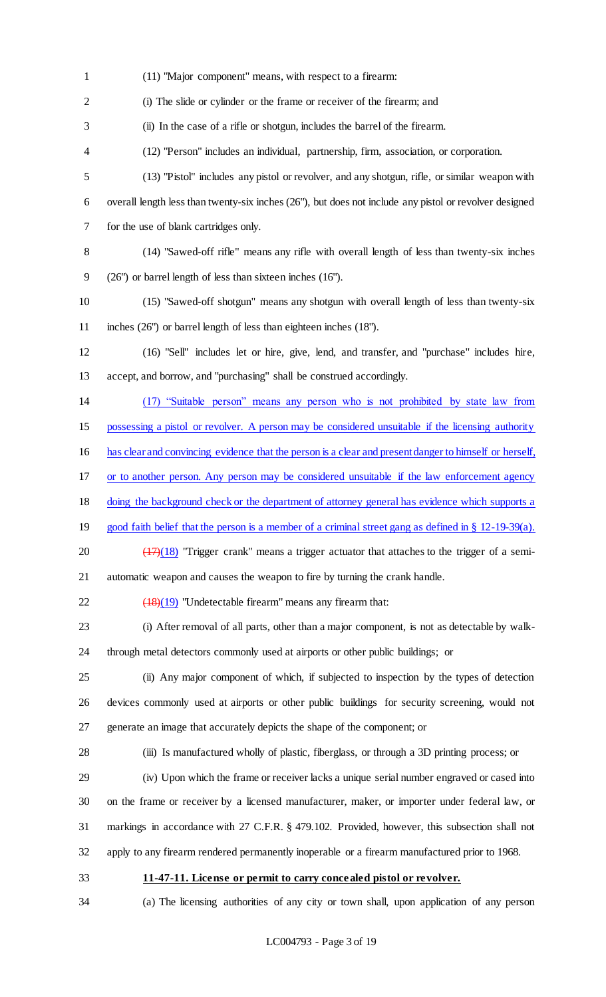(11) "Major component" means, with respect to a firearm: (i) The slide or cylinder or the frame or receiver of the firearm; and (ii) In the case of a rifle or shotgun, includes the barrel of the firearm. (12) "Person" includes an individual, partnership, firm, association, or corporation. (13) "Pistol" includes any pistol or revolver, and any shotgun, rifle, or similar weapon with overall length less than twenty-six inches (26"), but does not include any pistol or revolver designed for the use of blank cartridges only. (14) "Sawed-off rifle" means any rifle with overall length of less than twenty-six inches (26") or barrel length of less than sixteen inches (16"). (15) "Sawed-off shotgun" means any shotgun with overall length of less than twenty-six inches (26") or barrel length of less than eighteen inches (18"). (16) "Sell" includes let or hire, give, lend, and transfer, and "purchase" includes hire, accept, and borrow, and "purchasing" shall be construed accordingly. (17) "Suitable person" means any person who is not prohibited by state law from possessing a pistol or revolver. A person may be considered unsuitable if the licensing authority has clear and convincing evidence that the person is a clear and present danger to himself or herself, or to another person. Any person may be considered unsuitable if the law enforcement agency doing the background check or the department of attorney general has evidence which supports a good faith belief that the person is a member of a criminal street gang as defined in § 12-19-39(a).  $\left(\frac{(17)(18)}{27}\right)$  "Trigger crank" means a trigger actuator that attaches to the trigger of a semi- automatic weapon and causes the weapon to fire by turning the crank handle.  $\left(\frac{(18)(19)}{27}\right)$  "Undetectable firearm" means any firearm that: (i) After removal of all parts, other than a major component, is not as detectable by walk- through metal detectors commonly used at airports or other public buildings; or (ii) Any major component of which, if subjected to inspection by the types of detection devices commonly used at airports or other public buildings for security screening, would not generate an image that accurately depicts the shape of the component; or (iii) Is manufactured wholly of plastic, fiberglass, or through a 3D printing process; or (iv) Upon which the frame or receiver lacks a unique serial number engraved or cased into on the frame or receiver by a licensed manufacturer, maker, or importer under federal law, or markings in accordance with 27 C.F.R. § 479.102. Provided, however, this subsection shall not apply to any firearm rendered permanently inoperable or a firearm manufactured prior to 1968. **11-47-11. License or permit to carry concealed pistol or revolver.** (a) The licensing authorities of any city or town shall, upon application of any person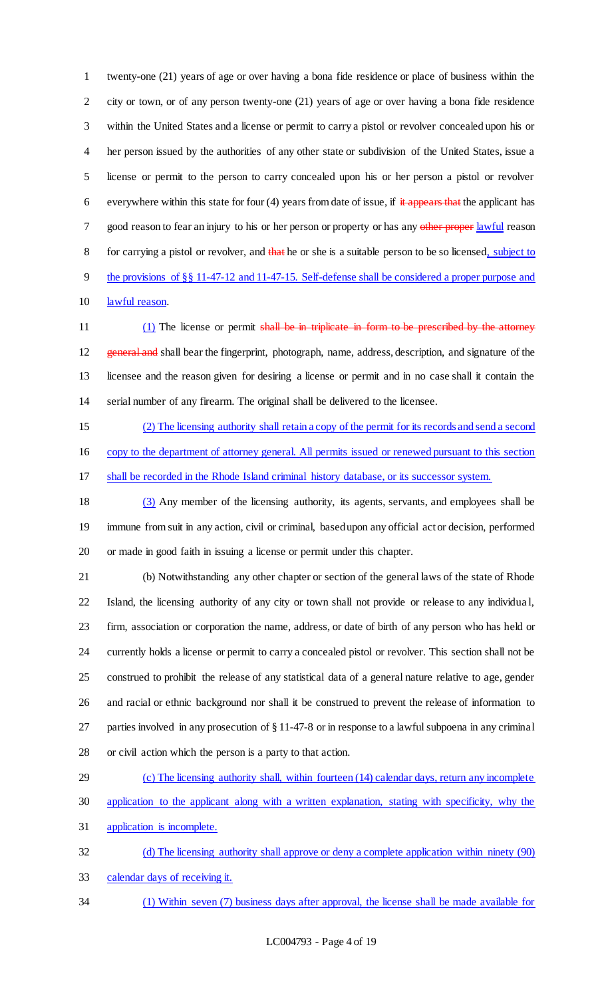twenty-one (21) years of age or over having a bona fide residence or place of business within the city or town, or of any person twenty-one (21) years of age or over having a bona fide residence within the United States and a license or permit to carry a pistol or revolver concealed upon his or her person issued by the authorities of any other state or subdivision of the United States, issue a license or permit to the person to carry concealed upon his or her person a pistol or revolver 6 everywhere within this state for four (4) years from date of issue, if  $\frac{1}{x}$  appears that the applicant has 7 good reason to fear an injury to his or her person or property or has any other proper lawful reason 8 for carrying a pistol or revolver, and that he or she is a suitable person to be so licensed, subject to the provisions of §§ 11-47-12 and 11-47-15. Self-defense shall be considered a proper purpose and lawful reason.

11 (1) The license or permit shall be in triplicate in form to be prescribed by the attorney 12 general and shall bear the fingerprint, photograph, name, address, description, and signature of the licensee and the reason given for desiring a license or permit and in no case shall it contain the serial number of any firearm. The original shall be delivered to the licensee.

 (2) The licensing authority shall retain a copy of the permit for its records and send a second copy to the department of attorney general. All permits issued or renewed pursuant to this section shall be recorded in the Rhode Island criminal history database, or its successor system.

 (3) Any member of the licensing authority, its agents, servants, and employees shall be immune from suit in any action, civil or criminal, based upon any official act or decision, performed or made in good faith in issuing a license or permit under this chapter.

 (b) Notwithstanding any other chapter or section of the general laws of the state of Rhode Island, the licensing authority of any city or town shall not provide or release to any individua l, firm, association or corporation the name, address, or date of birth of any person who has held or currently holds a license or permit to carry a concealed pistol or revolver. This section shall not be construed to prohibit the release of any statistical data of a general nature relative to age, gender and racial or ethnic background nor shall it be construed to prevent the release of information to parties involved in any prosecution of § 11-47-8 or in response to a lawful subpoena in any criminal or civil action which the person is a party to that action.

 (c) The licensing authority shall, within fourteen (14) calendar days, return any incomplete application to the applicant along with a written explanation, stating with specificity, why the application is incomplete.

 (d) The licensing authority shall approve or deny a complete application within ninety (90) calendar days of receiving it.

(1) Within seven (7) business days after approval, the license shall be made available for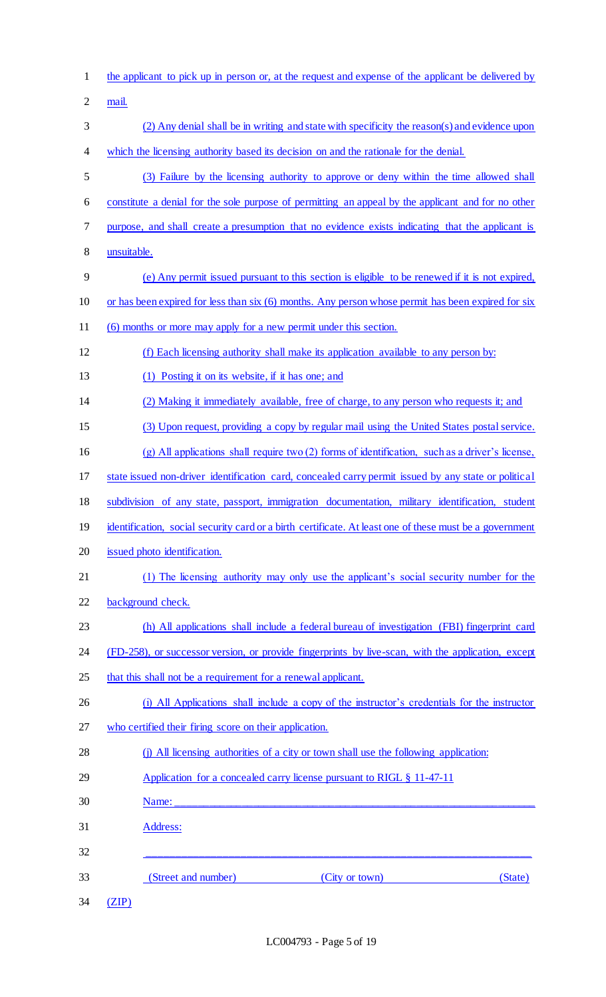| $\mathbf{1}$   | the applicant to pick up in person or, at the request and expense of the applicant be delivered by      |
|----------------|---------------------------------------------------------------------------------------------------------|
| $\overline{2}$ | mail.                                                                                                   |
| 3              | (2) Any denial shall be in writing and state with specificity the reason(s) and evidence upon           |
| 4              | which the licensing authority based its decision on and the rationale for the denial.                   |
| 5              | (3) Failure by the licensing authority to approve or deny within the time allowed shall                 |
| 6              | constitute a denial for the sole purpose of permitting an appeal by the applicant and for no other      |
| $\tau$         | purpose, and shall create a presumption that no evidence exists indicating that the applicant is        |
| 8              | unsuitable.                                                                                             |
| 9              | (e) Any permit issued pursuant to this section is eligible to be renewed if it is not expired,          |
| 10             | or has been expired for less than six (6) months. Any person whose permit has been expired for six      |
| 11             | (6) months or more may apply for a new permit under this section.                                       |
| 12             | (f) Each licensing authority shall make its application available to any person by:                     |
| 13             | (1) Posting it on its website, if it has one; and                                                       |
| 14             | (2) Making it immediately available, free of charge, to any person who requests it; and                 |
| 15             | (3) Upon request, providing a copy by regular mail using the United States postal service.              |
| 16             | $(g)$ All applications shall require two (2) forms of identification, such as a driver's license,       |
| 17             | state issued non-driver identification card, concealed carry permit issued by any state or political    |
| 18             | subdivision of any state, passport, immigration documentation, military identification, student         |
| 19             | identification, social security card or a birth certificate. At least one of these must be a government |
| 20             | issued photo identification.                                                                            |
| 21             | (1) The licensing authority may only use the applicant's social security number for the                 |
| 22             | background check.                                                                                       |
| 23             | (h) All applications shall include a federal bureau of investigation (FBI) fingerprint card             |
| 24             | (FD-258), or successor version, or provide fingerprints by live-scan, with the application, except      |
| 25             | that this shall not be a requirement for a renewal applicant.                                           |
| 26             | (i) All Applications shall include a copy of the instructor's credentials for the instructor            |
| 27             | who certified their firing score on their application.                                                  |
| 28             | (i) All licensing authorities of a city or town shall use the following application:                    |
| 29             | Application for a concealed carry license pursuant to RIGL § 11-47-11                                   |
| 30             | Name:                                                                                                   |
| 31             | Address:                                                                                                |
| 32             |                                                                                                         |
| 33             | (Street and number)<br>(City or town)<br>(State)                                                        |
| 34             | (ZIP)                                                                                                   |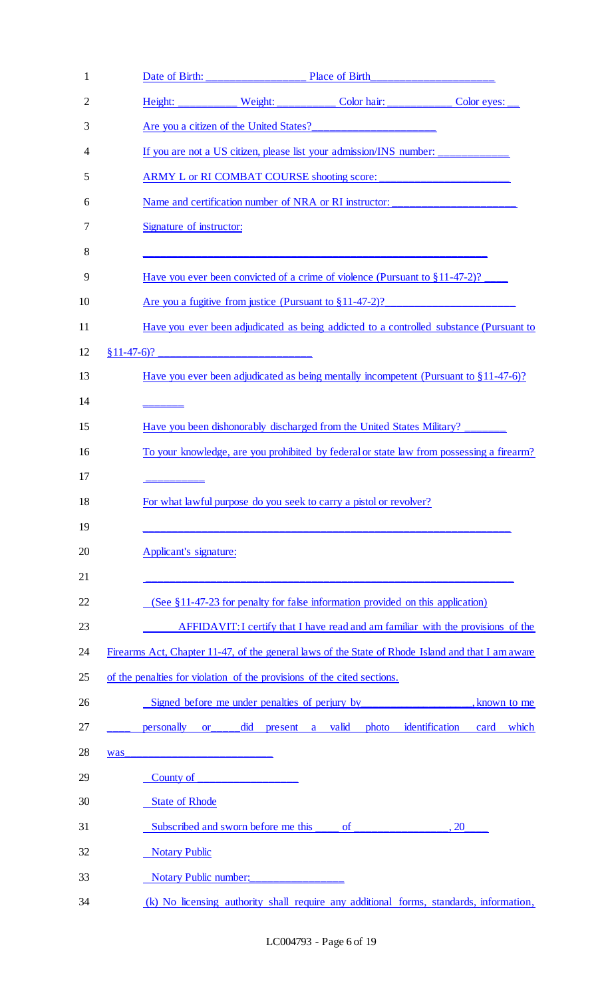| 1  |                                                                                                                                                                                                                                                                                                                                                                                                                                                 |
|----|-------------------------------------------------------------------------------------------------------------------------------------------------------------------------------------------------------------------------------------------------------------------------------------------------------------------------------------------------------------------------------------------------------------------------------------------------|
| 2  | Weight: __________ Color hair: ___________<br>Height:<br>Color eyes:                                                                                                                                                                                                                                                                                                                                                                            |
| 3  | Are you a citizen of the United States?                                                                                                                                                                                                                                                                                                                                                                                                         |
| 4  | If you are not a US citizen, please list your admission/INS number:                                                                                                                                                                                                                                                                                                                                                                             |
| 5  |                                                                                                                                                                                                                                                                                                                                                                                                                                                 |
| 6  | Name and certification number of NRA or RI instructor: __________________________                                                                                                                                                                                                                                                                                                                                                               |
| 7  | Signature of instructor:                                                                                                                                                                                                                                                                                                                                                                                                                        |
| 8  |                                                                                                                                                                                                                                                                                                                                                                                                                                                 |
| 9  | Have you ever been convicted of a crime of violence (Pursuant to $\S 11-47-2$ )?                                                                                                                                                                                                                                                                                                                                                                |
| 10 | Are you a fugitive from justice (Pursuant to $\S 11-47-2$ )?                                                                                                                                                                                                                                                                                                                                                                                    |
| 11 | Have you ever been adjudicated as being addicted to a controlled substance (Pursuant to                                                                                                                                                                                                                                                                                                                                                         |
| 12 | $$11-47-6$ ?                                                                                                                                                                                                                                                                                                                                                                                                                                    |
| 13 | Have you ever been adjudicated as being mentally incompetent (Pursuant to $\S 11-47-6$ )?                                                                                                                                                                                                                                                                                                                                                       |
| 14 |                                                                                                                                                                                                                                                                                                                                                                                                                                                 |
| 15 | Have you been dishonorably discharged from the United States Military? ________                                                                                                                                                                                                                                                                                                                                                                 |
| 16 | To your knowledge, are you prohibited by federal or state law from possessing a firearm?                                                                                                                                                                                                                                                                                                                                                        |
| 17 |                                                                                                                                                                                                                                                                                                                                                                                                                                                 |
| 18 | For what lawful purpose do you seek to carry a pistol or revolver?                                                                                                                                                                                                                                                                                                                                                                              |
| 19 |                                                                                                                                                                                                                                                                                                                                                                                                                                                 |
| 20 | Applicant's signature:                                                                                                                                                                                                                                                                                                                                                                                                                          |
| 21 |                                                                                                                                                                                                                                                                                                                                                                                                                                                 |
| 22 | (See §11-47-23 for penalty for false information provided on this application)                                                                                                                                                                                                                                                                                                                                                                  |
| 23 | AFFIDAVIT: I certify that I have read and am familiar with the provisions of the                                                                                                                                                                                                                                                                                                                                                                |
| 24 | Firearms Act, Chapter 11-47, of the general laws of the State of Rhode Island and that I am aware                                                                                                                                                                                                                                                                                                                                               |
| 25 | of the penalties for violation of the provisions of the cited sections.                                                                                                                                                                                                                                                                                                                                                                         |
| 26 | Signed before me under penalties of perjury by<br>known to me                                                                                                                                                                                                                                                                                                                                                                                   |
| 27 | did<br>personally<br>valid<br>identification<br>which<br>present<br>photo<br>card<br>$or$ and $\overline{or}$ and $\overline{or}$ and $\overline{or}$ and $\overline{or}$ and $\overline{or}$ and $\overline{or}$ and $\overline{or}$ and $\overline{or}$ and $\overline{or}$ and $\overline{or}$ and $\overline{or}$ and $\overline{or}$ and $\overline{or}$ and $\overline{or}$ and $\overline{or}$ and $\overline{or}$ and $\overline{$<br>a |
| 28 | was                                                                                                                                                                                                                                                                                                                                                                                                                                             |
| 29 | County of                                                                                                                                                                                                                                                                                                                                                                                                                                       |
| 30 | <b>State of Rhode</b>                                                                                                                                                                                                                                                                                                                                                                                                                           |
| 31 | Subscribed and sworn before me this<br>of<br><b>20</b>                                                                                                                                                                                                                                                                                                                                                                                          |
| 32 | <b>Notary Public</b>                                                                                                                                                                                                                                                                                                                                                                                                                            |
| 33 | <b>Notary Public number:</b>                                                                                                                                                                                                                                                                                                                                                                                                                    |
| 34 | (k) No licensing authority shall require any additional forms, standards, information,                                                                                                                                                                                                                                                                                                                                                          |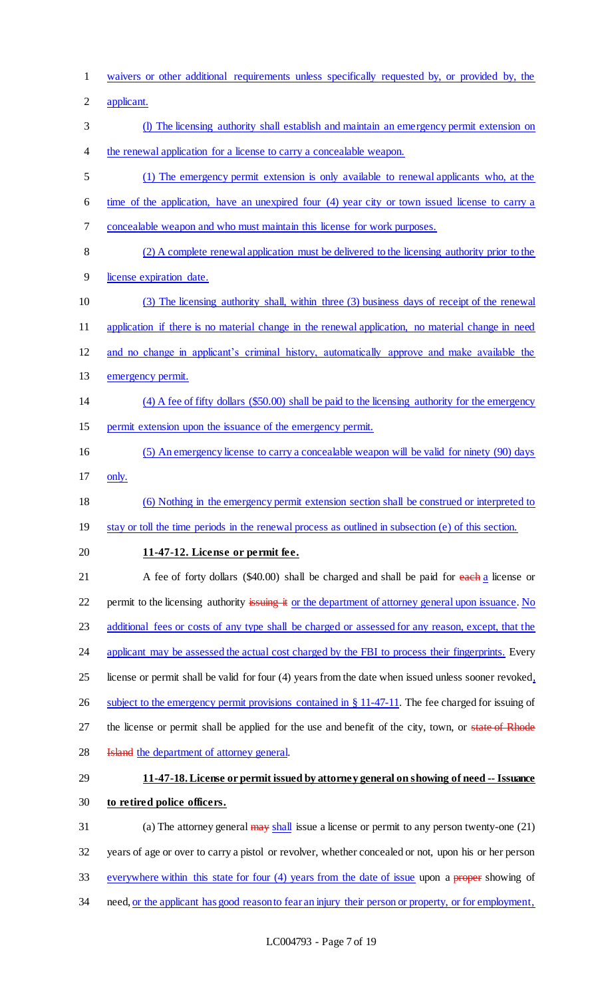waivers or other additional requirements unless specifically requested by, or provided by, the applicant. (l) The licensing authority shall establish and maintain an emergency permit extension on the renewal application for a license to carry a concealable weapon. (1) The emergency permit extension is only available to renewal applicants who, at the time of the application, have an unexpired four (4) year city or town issued license to carry a concealable weapon and who must maintain this license for work purposes. (2) A complete renewal application must be delivered to the licensing authority prior to the license expiration date. (3) The licensing authority shall, within three (3) business days of receipt of the renewal application if there is no material change in the renewal application, no material change in need and no change in applicant's criminal history, automatically approve and make available the 13 emergency permit. (4) A fee of fifty dollars (\$50.00) shall be paid to the licensing authority for the emergency permit extension upon the issuance of the emergency permit. (5) An emergency license to carry a concealable weapon will be valid for ninety (90) days only. (6) Nothing in the emergency permit extension section shall be construed or interpreted to stay or toll the time periods in the renewal process as outlined in subsection (e) of this section. **11-47-12. License or permit fee.** 21 A fee of forty dollars (\$40.00) shall be charged and shall be paid for each a license or 22 permit to the licensing authority issuing it or the department of attorney general upon issuance. No 23 additional fees or costs of any type shall be charged or assessed for any reason, except, that the 24 applicant may be assessed the actual cost charged by the FBI to process their fingerprints. Every 25 license or permit shall be valid for four (4) years from the date when issued unless sooner revoked, 26 subject to the emergency permit provisions contained in § 11-47-11. The fee charged for issuing of 27 the license or permit shall be applied for the use and benefit of the city, town, or state of Rhode **Island** the department of attorney general. **11-47-18. License or permit issued by attorney general on showing of need -- Issuance to retired police officers.** 31 (a) The attorney general may shall issue a license or permit to any person twenty-one (21) years of age or over to carry a pistol or revolver, whether concealed or not, upon his or her person 33 everywhere within this state for four (4) years from the date of issue upon a proper showing of 34 need, <u>or the applicant has good reason to fear an injury their person or property, or for employment,</u>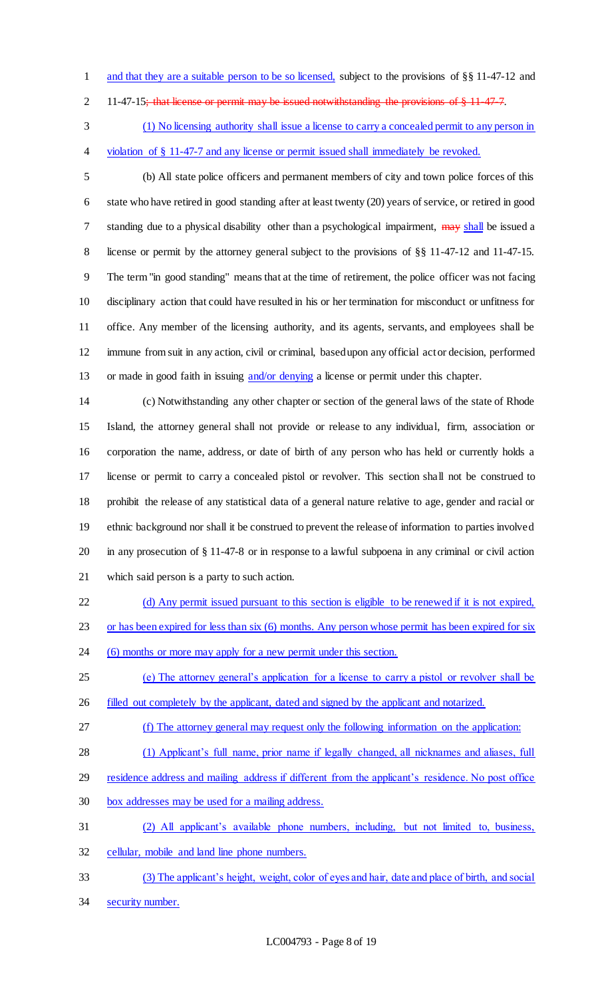- 1 and that they are a suitable person to be so licensed, subject to the provisions of §§ 11-47-12 and
- 2 11-47-15; that license or permit may be issued notwithstanding the provisions of § 11-47-7.
- (1) No licensing authority shall issue a license to carry a concealed permit to any person in violation of § 11-47-7 and any license or permit issued shall immediately be revoked.
- 

 (b) All state police officers and permanent members of city and town police forces of this state who have retired in good standing after at least twenty (20) years of service, or retired in good 7 standing due to a physical disability other than a psychological impairment, may shall be issued a 8 license or permit by the attorney general subject to the provisions of §§ 11-47-12 and 11-47-15. The term "in good standing" means that at the time of retirement, the police officer was not facing disciplinary action that could have resulted in his or her termination for misconduct or unfitness for office. Any member of the licensing authority, and its agents, servants, and employees shall be immune from suit in any action, civil or criminal, based upon any official act or decision, performed 13 or made in good faith in issuing and/or denying a license or permit under this chapter.

 (c) Notwithstanding any other chapter or section of the general laws of the state of Rhode Island, the attorney general shall not provide or release to any individual, firm, association or corporation the name, address, or date of birth of any person who has held or currently holds a license or permit to carry a concealed pistol or revolver. This section shall not be construed to prohibit the release of any statistical data of a general nature relative to age, gender and racial or ethnic background nor shall it be construed to prevent the release of information to parties involved in any prosecution of § 11-47-8 or in response to a lawful subpoena in any criminal or civil action which said person is a party to such action.

- (d) Any permit issued pursuant to this section is eligible to be renewed if it is not expired,
- 23 or has been expired for less than six (6) months. Any person whose permit has been expired for six
- 24 (6) months or more may apply for a new permit under this section.
- (e) The attorney general's application for a license to carry a pistol or revolver shall be
- filled out completely by the applicant, dated and signed by the applicant and notarized.
- (f) The attorney general may request only the following information on the application:
- (1) Applicant's full name, prior name if legally changed, all nicknames and aliases, full
- residence address and mailing address if different from the applicant's residence. No post office
- box addresses may be used for a mailing address.
- (2) All applicant's available phone numbers, including, but not limited to, business, cellular, mobile and land line phone numbers.
- (3) The applicant's height, weight, color of eyes and hair, date and place of birth, and social
- security number.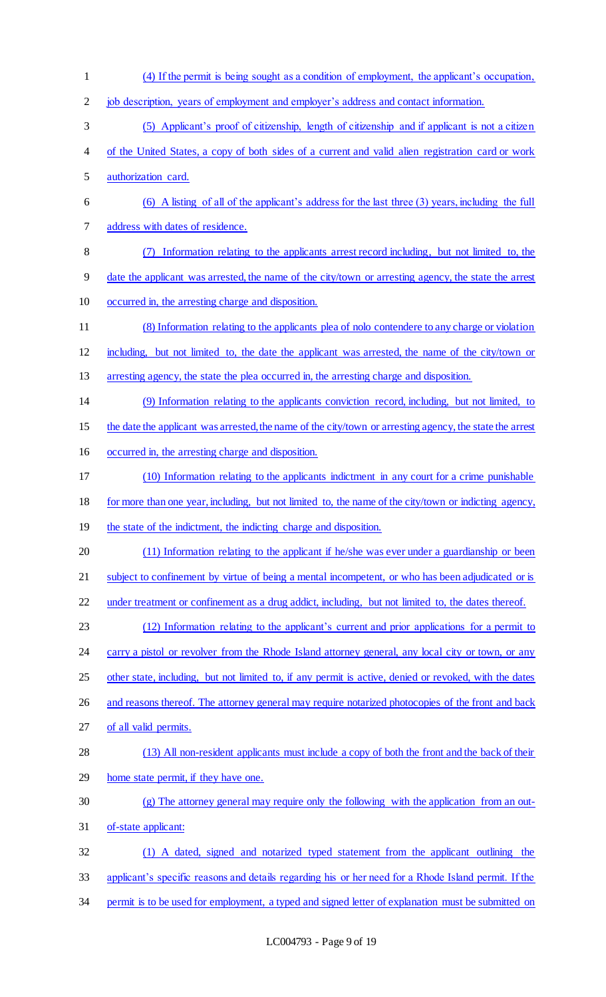job description, years of employment and employer's address and contact information. (5) Applicant's proof of citizenship, length of citizenship and if applicant is not a citizen of the United States, a copy of both sides of a current and valid alien registration card or work authorization card. (6) A listing of all of the applicant's address for the last three (3) years, including the full address with dates of residence. (7) Information relating to the applicants arrest record including, but not limited to, the date the applicant was arrested, the name of the city/town or arresting agency, the state the arrest occurred in, the arresting charge and disposition. (8) Information relating to the applicants plea of nolo contendere to any charge or violation including, but not limited to, the date the applicant was arrested, the name of the city/town or arresting agency, the state the plea occurred in, the arresting charge and disposition. (9) Information relating to the applicants conviction record, including, but not limited, to the date the applicant was arrested, the name of the city/town or arresting agency, the state the arrest occurred in, the arresting charge and disposition. (10) Information relating to the applicants indictment in any court for a crime punishable for more than one year, including, but not limited to, the name of the city/town or indicting agency, 19 the state of the indictment, the indicting charge and disposition. (11) Information relating to the applicant if he/she was ever under a guardianship or been 21 subject to confinement by virtue of being a mental incompetent, or who has been adjudicated or is under treatment or confinement as a drug addict, including, but not limited to, the dates thereof. (12) Information relating to the applicant's current and prior applications for a permit to 24 carry a pistol or revolver from the Rhode Island attorney general, any local city or town, or any 25 other state, including, but not limited to, if any permit is active, denied or revoked, with the dates 26 and reasons thereof. The attorney general may require notarized photocopies of the front and back of all valid permits. (13) All non-resident applicants must include a copy of both the front and the back of their home state permit, if they have one. (g) The attorney general may require only the following with the application from an out- of-state applicant: (1) A dated, signed and notarized typed statement from the applicant outlining the applicant's specific reasons and details regarding his or her need for a Rhode Island permit. If the

(4) If the permit is being sought as a condition of employment, the applicant's occupation,

permit is to be used for employment, a typed and signed letter of explanation must be submitted on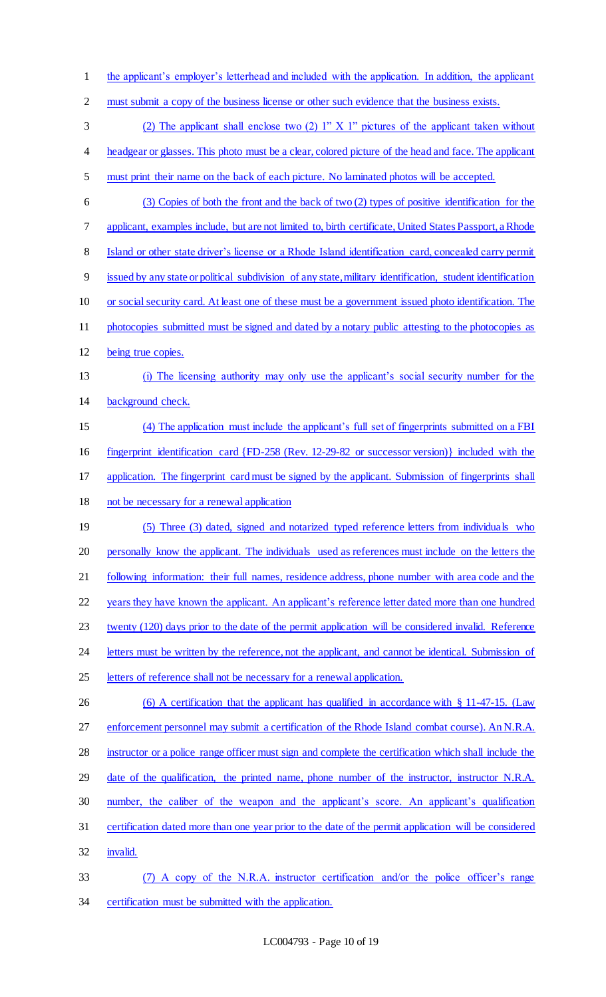2 must submit a copy of the business license or other such evidence that the business exists. (2) The applicant shall enclose two (2) 1" X 1" pictures of the applicant taken without headgear or glasses. This photo must be a clear, colored picture of the head and face. The applicant must print their name on the back of each picture. No laminated photos will be accepted. (3) Copies of both the front and the back of two (2) types of positive identification for the applicant, examples include, but are not limited to, birth certificate, United States Passport, a Rhode Island or other state driver's license or a Rhode Island identification card, concealed carry permit issued by any state or political subdivision of any state, military identification, student identification or social security card. At least one of these must be a government issued photo identification. The 11 photocopies submitted must be signed and dated by a notary public attesting to the photocopies as being true copies. (i) The licensing authority may only use the applicant's social security number for the background check. (4) The application must include the applicant's full set of fingerprints submitted on a FBI fingerprint identification card {FD-258 (Rev. 12-29-82 or successor version)} included with the application. The fingerprint card must be signed by the applicant. Submission of fingerprints shall 18 not be necessary for a renewal application 19 (5) Three (3) dated, signed and notarized typed reference letters from individuals who 20 personally know the applicant. The individuals used as references must include on the letters the 21 following information: their full names, residence address, phone number with area code and the years they have known the applicant. An applicant's reference letter dated more than one hundred 23 twenty (120) days prior to the date of the permit application will be considered invalid. Reference 24 letters must be written by the reference, not the applicant, and cannot be identical. Submission of 25 letters of reference shall not be necessary for a renewal application. 26 (6) A certification that the applicant has qualified in accordance with § 11-47-15. (Law enforcement personnel may submit a certification of the Rhode Island combat course). An N.R.A. instructor or a police range officer must sign and complete the certification which shall include the 29 date of the qualification, the printed name, phone number of the instructor, instructor N.R.A. number, the caliber of the weapon and the applicant's score. An applicant's qualification certification dated more than one year prior to the date of the permit application will be considered invalid.

the applicant's employer's letterhead and included with the application. In addition, the applicant

 (7) A copy of the N.R.A. instructor certification and/or the police officer's range certification must be submitted with the application.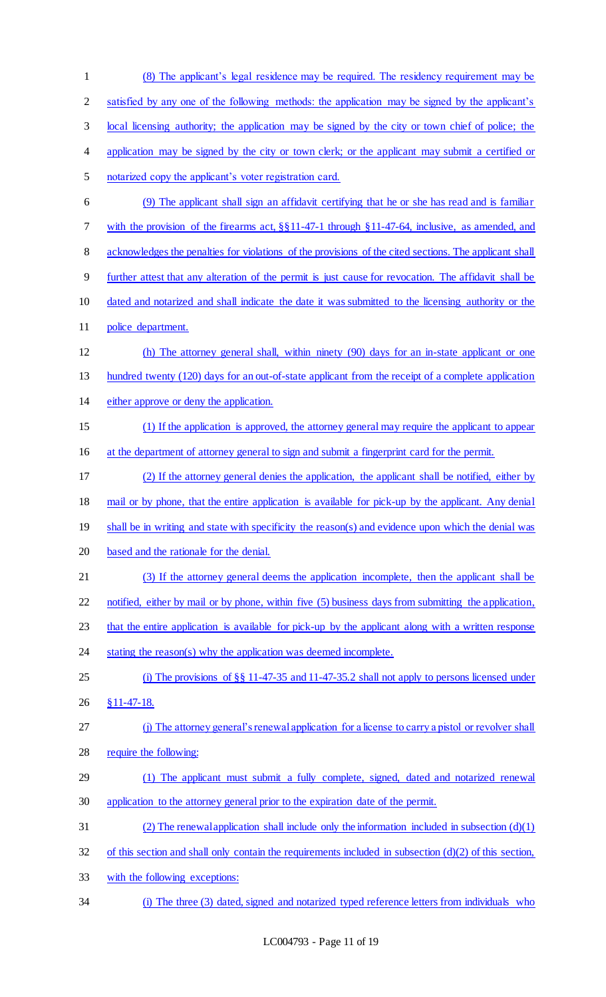(8) The applicant's legal residence may be required. The residency requirement may be 2 satisfied by any one of the following methods: the application may be signed by the applicant's local licensing authority; the application may be signed by the city or town chief of police; the 4 application may be signed by the city or town clerk; or the applicant may submit a certified or notarized copy the applicant's voter registration card. (9) The applicant shall sign an affidavit certifying that he or she has read and is familiar with the provision of the firearms act, §§11-47-1 through §11-47-64, inclusive, as amended, and acknowledges the penalties for violations of the provisions of the cited sections. The applicant shall further attest that any alteration of the permit is just cause for revocation. The affidavit shall be dated and notarized and shall indicate the date it was submitted to the licensing authority or the police department. (h) The attorney general shall, within ninety (90) days for an in-state applicant or one 13 hundred twenty (120) days for an out-of-state applicant from the receipt of a complete application either approve or deny the application. (1) If the application is approved, the attorney general may require the applicant to appear at the department of attorney general to sign and submit a fingerprint card for the permit. (2) If the attorney general denies the application, the applicant shall be notified, either by mail or by phone, that the entire application is available for pick-up by the applicant. Any denial shall be in writing and state with specificity the reason(s) and evidence upon which the denial was based and the rationale for the denial. (3) If the attorney general deems the application incomplete, then the applicant shall be notified, either by mail or by phone, within five (5) business days from submitting the application, 23 that the entire application is available for pick-up by the applicant along with a written response 24 stating the reason(s) why the application was deemed incomplete. (i) The provisions of §§ 11-47-35 and 11-47-35.2 shall not apply to persons licensed under §11-47-18. (j) The attorney general's renewal application for a license to carry a pistol or revolver shall require the following: (1) The applicant must submit a fully complete, signed, dated and notarized renewal application to the attorney general prior to the expiration date of the permit. (2) The renewal application shall include only the information included in subsection (d)(1) of this section and shall only contain the requirements included in subsection (d)(2) of this section, with the following exceptions:

(i) The three (3) dated, signed and notarized typed reference letters from individuals who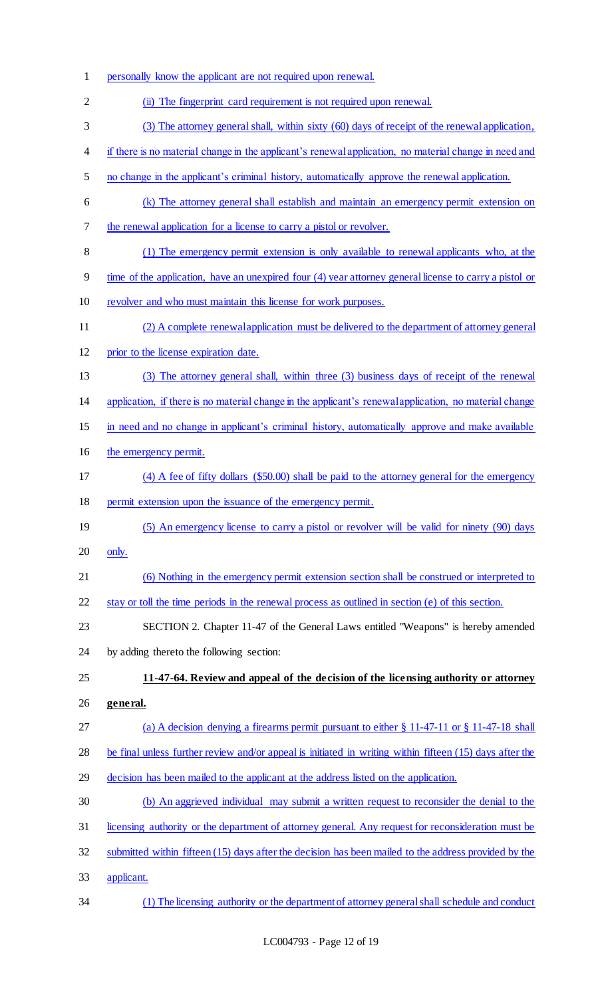- personally know the applicant are not required upon renewal.
- (ii) The fingerprint card requirement is not required upon renewal.
- (3) The attorney general shall, within sixty (60) days of receipt of the renewal application,
- if there is no material change in the applicant's renewal application, no material change in need and
- no change in the applicant's criminal history, automatically approve the renewal application.
- (k) The attorney general shall establish and maintain an emergency permit extension on the renewal application for a license to carry a pistol or revolver.
- (1) The emergency permit extension is only available to renewal applicants who, at the
- time of the application, have an unexpired four (4) year attorney general license to carry a pistol or
- 10 revolver and who must maintain this license for work purposes.
- (2) A complete renewal application must be delivered to the department of attorney general
- prior to the license expiration date.
- (3) The attorney general shall, within three (3) business days of receipt of the renewal
- application, if there is no material change in the applicant's renewal application, no material change
- in need and no change in applicant's criminal history, automatically approve and make available
- the emergency permit.
- (4) A fee of fifty dollars (\$50.00) shall be paid to the attorney general for the emergency
- permit extension upon the issuance of the emergency permit.
- 19 (5) An emergency license to carry a pistol or revolver will be valid for ninety (90) days only.
- (6) Nothing in the emergency permit extension section shall be construed or interpreted to
- stay or toll the time periods in the renewal process as outlined in section (e) of this section.
- SECTION 2. Chapter 11-47 of the General Laws entitled "Weapons" is hereby amended
- by adding thereto the following section:
- **11-47-64. Review and appeal of the decision of the licensing authority or attorney general.**
- (a) A decision denying a firearms permit pursuant to either § 11-47-11 or § 11-47-18 shall
- 28 be final unless further review and/or appeal is initiated in writing within fifteen (15) days after the
- decision has been mailed to the applicant at the address listed on the application.
- (b) An aggrieved individual may submit a written request to reconsider the denial to the
- licensing authority or the department of attorney general. Any request for reconsideration must be
- submitted within fifteen (15) days after the decision has been mailed to the address provided by the
- applicant.
- (1) The licensing authority or the department of attorney general shall schedule and conduct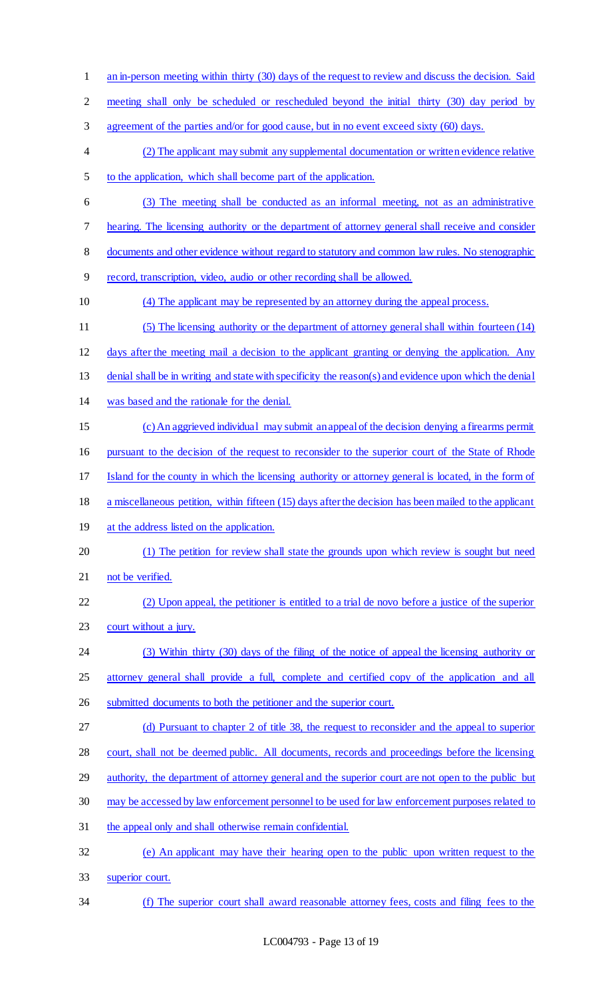1 an in-person meeting within thirty (30) days of the request to review and discuss the decision. Said meeting shall only be scheduled or rescheduled beyond the initial thirty (30) day period by agreement of the parties and/or for good cause, but in no event exceed sixty (60) days. (2) The applicant may submit any supplemental documentation or written evidence relative to the application, which shall become part of the application. (3) The meeting shall be conducted as an informal meeting, not as an administrative hearing. The licensing authority or the department of attorney general shall receive and consider documents and other evidence without regard to statutory and common law rules. No stenographic record, transcription, video, audio or other recording shall be allowed. (4) The applicant may be represented by an attorney during the appeal process. (5) The licensing authority or the department of attorney general shall within fourteen (14) days after the meeting mail a decision to the applicant granting or denying the application. Any denial shall be in writing and state with specificity the reason(s) and evidence upon which the denial was based and the rationale for the denial. (c) An aggrieved individual may submit an appeal of the decision denying a firearms permit pursuant to the decision of the request to reconsider to the superior court of the State of Rhode Island for the county in which the licensing authority or attorney general is located, in the form of a miscellaneous petition, within fifteen (15) days after the decision has been mailed to the applicant 19 at the address listed on the application. (1) The petition for review shall state the grounds upon which review is sought but need 21 not be verified. (2) Upon appeal, the petitioner is entitled to a trial de novo before a justice of the superior court without a jury. (3) Within thirty (30) days of the filing of the notice of appeal the licensing authority or attorney general shall provide a full, complete and certified copy of the application and all submitted documents to both the petitioner and the superior court. (d) Pursuant to chapter 2 of title 38, the request to reconsider and the appeal to superior court, shall not be deemed public. All documents, records and proceedings before the licensing authority, the department of attorney general and the superior court are not open to the public but may be accessed by law enforcement personnel to be used for law enforcement purposes related to the appeal only and shall otherwise remain confidential. (e) An applicant may have their hearing open to the public upon written request to the superior court. (f) The superior court shall award reasonable attorney fees, costs and filing fees to the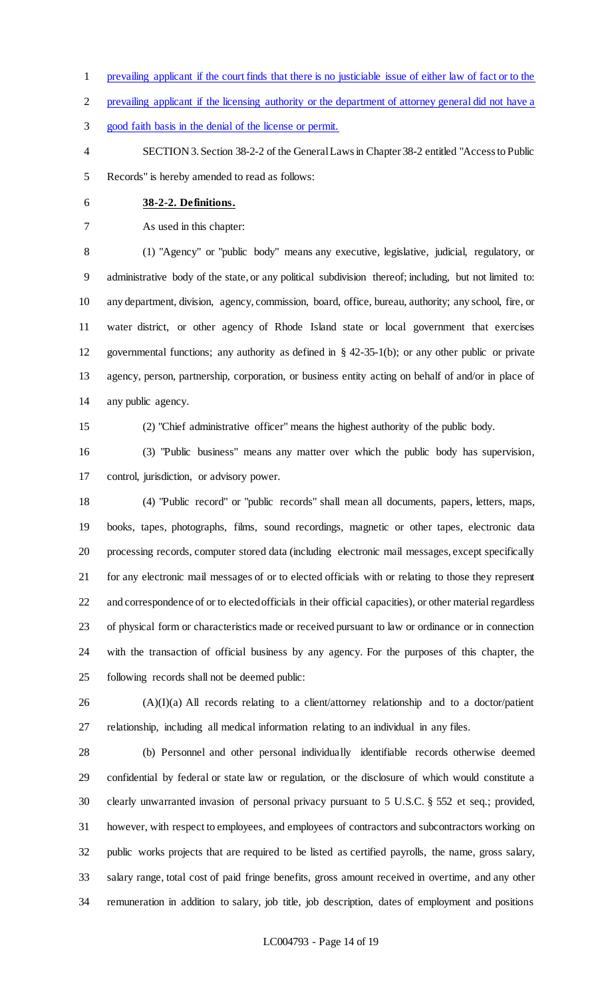- prevailing applicant if the court finds that there is no justiciable issue of either law of fact or to the
- prevailing applicant if the licensing authority or the department of attorney general did not have a
- good faith basis in the denial of the license or permit.
- SECTION 3. Section 38-2-2 of the General Laws in Chapter 38-2 entitled "Access to Public Records" is hereby amended to read as follows:
- **38-2-2. Definitions.**

As used in this chapter:

 (1) "Agency" or "public body" means any executive, legislative, judicial, regulatory, or administrative body of the state, or any political subdivision thereof; including, but not limited to: any department, division, agency, commission, board, office, bureau, authority; any school, fire, or water district, or other agency of Rhode Island state or local government that exercises governmental functions; any authority as defined in § 42-35-1(b); or any other public or private agency, person, partnership, corporation, or business entity acting on behalf of and/or in place of any public agency.

(2) "Chief administrative officer" means the highest authority of the public body.

 (3) "Public business" means any matter over which the public body has supervision, control, jurisdiction, or advisory power.

 (4) "Public record" or "public records" shall mean all documents, papers, letters, maps, books, tapes, photographs, films, sound recordings, magnetic or other tapes, electronic data processing records, computer stored data (including electronic mail messages, except specifically for any electronic mail messages of or to elected officials with or relating to those they represent and correspondence of or to elected officials in their official capacities), or other material regardless of physical form or characteristics made or received pursuant to law or ordinance or in connection with the transaction of official business by any agency. For the purposes of this chapter, the following records shall not be deemed public:

 (A)(I)(a) All records relating to a client/attorney relationship and to a doctor/patient relationship, including all medical information relating to an individual in any files.

 (b) Personnel and other personal individually identifiable records otherwise deemed confidential by federal or state law or regulation, or the disclosure of which would constitute a clearly unwarranted invasion of personal privacy pursuant to 5 U.S.C. § 552 et seq.; provided, however, with respect to employees, and employees of contractors and subcontractors working on public works projects that are required to be listed as certified payrolls, the name, gross salary, salary range, total cost of paid fringe benefits, gross amount received in overtime, and any other remuneration in addition to salary, job title, job description, dates of employment and positions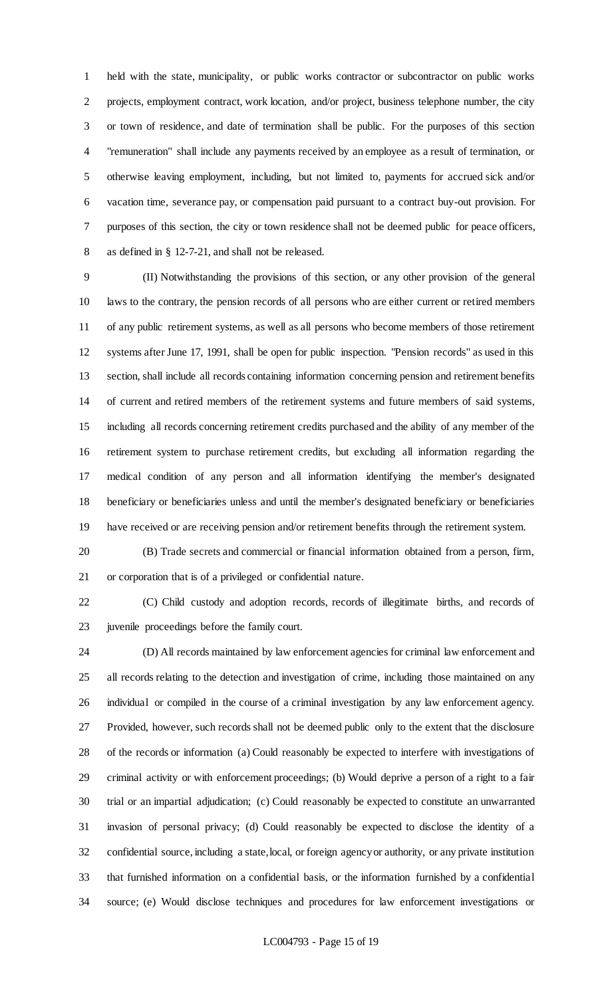held with the state, municipality, or public works contractor or subcontractor on public works projects, employment contract, work location, and/or project, business telephone number, the city or town of residence, and date of termination shall be public. For the purposes of this section "remuneration" shall include any payments received by an employee as a result of termination, or otherwise leaving employment, including, but not limited to, payments for accrued sick and/or vacation time, severance pay, or compensation paid pursuant to a contract buy-out provision. For purposes of this section, the city or town residence shall not be deemed public for peace officers, as defined in § 12-7-21, and shall not be released.

 (II) Notwithstanding the provisions of this section, or any other provision of the general laws to the contrary, the pension records of all persons who are either current or retired members of any public retirement systems, as well as all persons who become members of those retirement systems after June 17, 1991, shall be open for public inspection. "Pension records" as used in this section, shall include all records containing information concerning pension and retirement benefits of current and retired members of the retirement systems and future members of said systems, including all records concerning retirement credits purchased and the ability of any member of the retirement system to purchase retirement credits, but excluding all information regarding the medical condition of any person and all information identifying the member's designated beneficiary or beneficiaries unless and until the member's designated beneficiary or beneficiaries have received or are receiving pension and/or retirement benefits through the retirement system.

 (B) Trade secrets and commercial or financial information obtained from a person, firm, or corporation that is of a privileged or confidential nature.

 (C) Child custody and adoption records, records of illegitimate births, and records of juvenile proceedings before the family court.

 (D) All records maintained by law enforcement agencies for criminal law enforcement and all records relating to the detection and investigation of crime, including those maintained on any individual or compiled in the course of a criminal investigation by any law enforcement agency. Provided, however, such records shall not be deemed public only to the extent that the disclosure of the records or information (a) Could reasonably be expected to interfere with investigations of criminal activity or with enforcement proceedings; (b) Would deprive a person of a right to a fair trial or an impartial adjudication; (c) Could reasonably be expected to constitute an unwarranted invasion of personal privacy; (d) Could reasonably be expected to disclose the identity of a confidential source, including a state, local, or foreign agency or authority, or any private institution that furnished information on a confidential basis, or the information furnished by a confidential source; (e) Would disclose techniques and procedures for law enforcement investigations or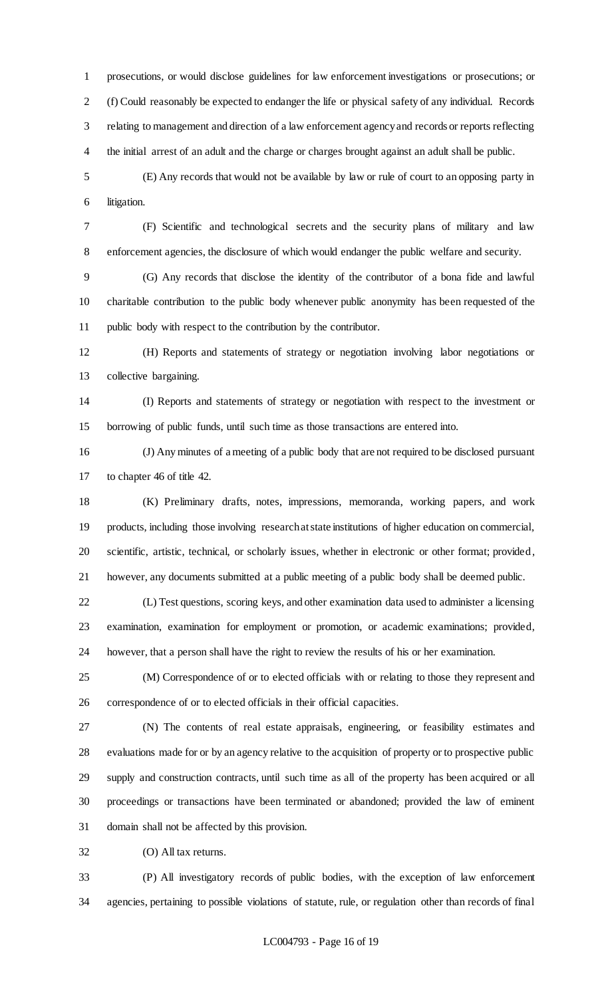prosecutions, or would disclose guidelines for law enforcement investigations or prosecutions; or (f) Could reasonably be expected to endanger the life or physical safety of any individual. Records relating to management and direction of a law enforcement agency and records or reports reflecting the initial arrest of an adult and the charge or charges brought against an adult shall be public.

 (E) Any records that would not be available by law or rule of court to an opposing party in litigation.

 (F) Scientific and technological secrets and the security plans of military and law enforcement agencies, the disclosure of which would endanger the public welfare and security.

 (G) Any records that disclose the identity of the contributor of a bona fide and lawful charitable contribution to the public body whenever public anonymity has been requested of the public body with respect to the contribution by the contributor.

 (H) Reports and statements of strategy or negotiation involving labor negotiations or collective bargaining.

 (I) Reports and statements of strategy or negotiation with respect to the investment or borrowing of public funds, until such time as those transactions are entered into.

 (J) Any minutes of a meeting of a public body that are not required to be disclosed pursuant to chapter 46 of title 42.

 (K) Preliminary drafts, notes, impressions, memoranda, working papers, and work products, including those involving research at state institutions of higher education on commercial, scientific, artistic, technical, or scholarly issues, whether in electronic or other format; provided, however, any documents submitted at a public meeting of a public body shall be deemed public.

 (L) Test questions, scoring keys, and other examination data used to administer a licensing examination, examination for employment or promotion, or academic examinations; provided, however, that a person shall have the right to review the results of his or her examination.

 (M) Correspondence of or to elected officials with or relating to those they represent and correspondence of or to elected officials in their official capacities.

 (N) The contents of real estate appraisals, engineering, or feasibility estimates and evaluations made for or by an agency relative to the acquisition of property or to prospective public supply and construction contracts, until such time as all of the property has been acquired or all proceedings or transactions have been terminated or abandoned; provided the law of eminent domain shall not be affected by this provision.

(O) All tax returns.

 (P) All investigatory records of public bodies, with the exception of law enforcement agencies, pertaining to possible violations of statute, rule, or regulation other than records of final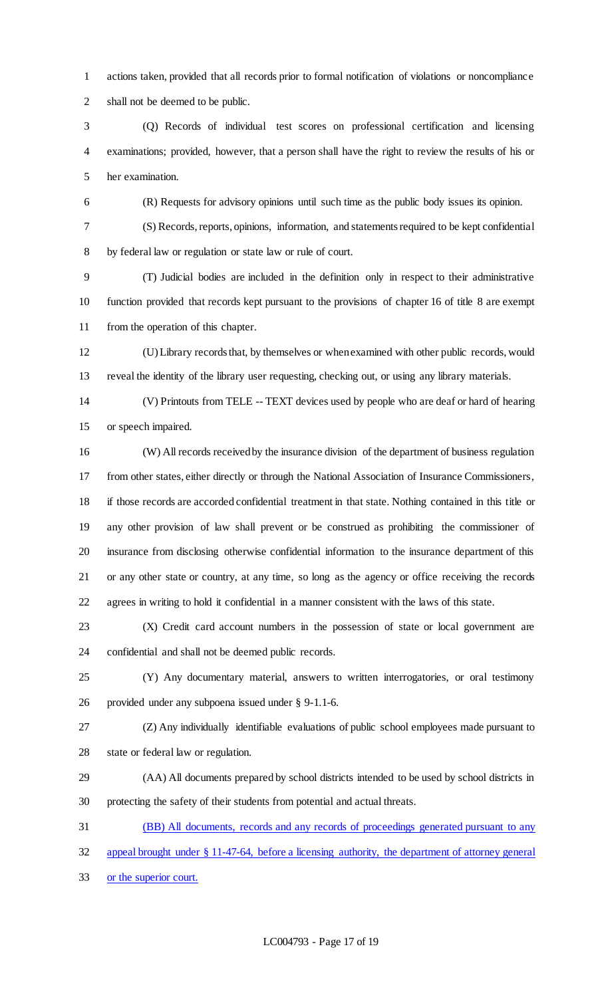actions taken, provided that all records prior to formal notification of violations or noncompliance shall not be deemed to be public.

 (Q) Records of individual test scores on professional certification and licensing examinations; provided, however, that a person shall have the right to review the results of his or her examination.

(R) Requests for advisory opinions until such time as the public body issues its opinion.

 (S) Records, reports, opinions, information, and statements required to be kept confidential by federal law or regulation or state law or rule of court.

 (T) Judicial bodies are included in the definition only in respect to their administrative function provided that records kept pursuant to the provisions of chapter 16 of title 8 are exempt from the operation of this chapter.

 (U) Library records that, by themselves or when examined with other public records, would reveal the identity of the library user requesting, checking out, or using any library materials.

 (V) Printouts from TELE -- TEXT devices used by people who are deaf or hard of hearing or speech impaired.

 (W) All records received by the insurance division of the department of business regulation from other states, either directly or through the National Association of Insurance Commissioners, if those records are accorded confidential treatment in that state. Nothing contained in this title or any other provision of law shall prevent or be construed as prohibiting the commissioner of insurance from disclosing otherwise confidential information to the insurance department of this or any other state or country, at any time, so long as the agency or office receiving the records agrees in writing to hold it confidential in a manner consistent with the laws of this state.

 (X) Credit card account numbers in the possession of state or local government are confidential and shall not be deemed public records.

 (Y) Any documentary material, answers to written interrogatories, or oral testimony provided under any subpoena issued under § 9-1.1-6.

 (Z) Any individually identifiable evaluations of public school employees made pursuant to state or federal law or regulation.

 (AA) All documents prepared by school districts intended to be used by school districts in protecting the safety of their students from potential and actual threats.

(BB) All documents, records and any records of proceedings generated pursuant to any

appeal brought under § 11-47-64, before a licensing authority, the department of attorney general

or the superior court.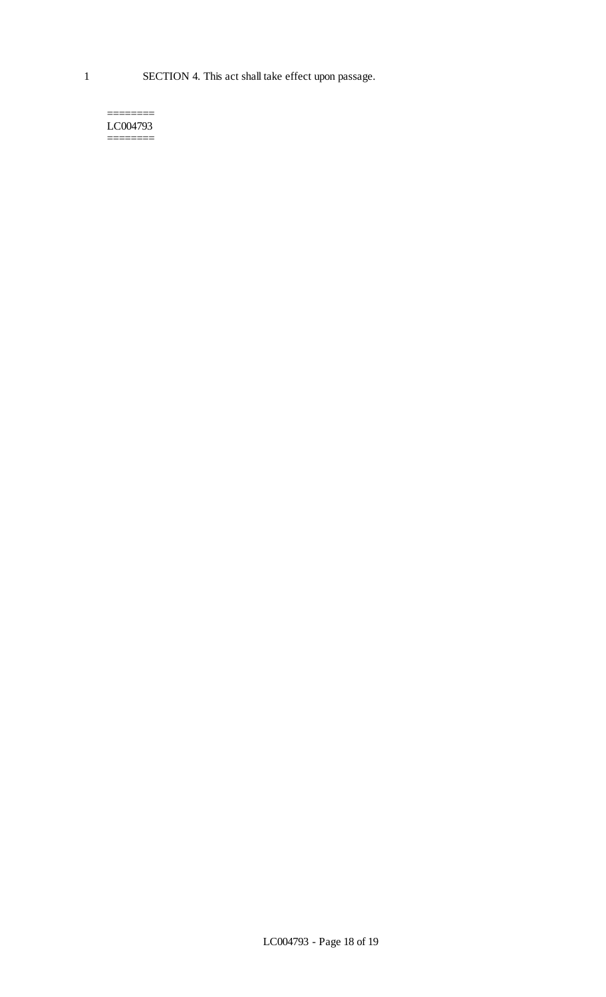======== LC004793 ========